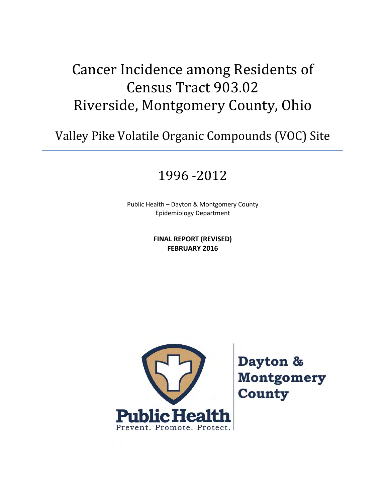# Cancer Incidence among Residents of Census Tract 903.02 Riverside, Montgomery County, Ohio

Valley Pike Volatile Organic Compounds (VOC) Site

# 1996 -2012

Public Health – Dayton & Montgomery County Epidemiology Department

> **FINAL REPORT (REVISED) FEBRUARY 2016**



Dayton & **Montgomery County**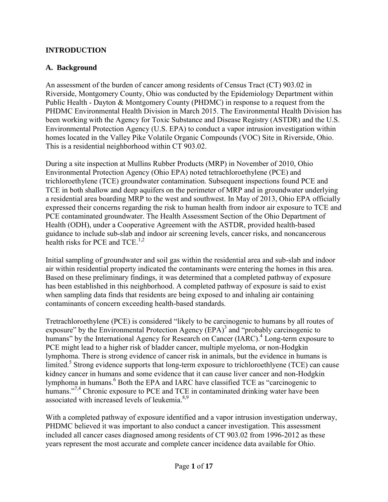#### **INTRODUCTION**

#### **A. Background**

An assessment of the burden of cancer among residents of Census Tract (CT) 903.02 in Riverside, Montgomery County, Ohio was conducted by the Epidemiology Department within Public Health - Dayton & Montgomery County (PHDMC) in response to a request from the PHDMC Environmental Health Division in March 2015. The Environmental Health Division has been working with the Agency for Toxic Substance and Disease Registry (ASTDR) and the U.S. Environmental Protection Agency (U.S. EPA) to conduct a vapor intrusion investigation within homes located in the Valley Pike Volatile Organic Compounds (VOC) Site in Riverside, Ohio. This is a residential neighborhood within CT 903.02.

During a site inspection at Mullins Rubber Products (MRP) in November of 2010, Ohio Environmental Protection Agency (Ohio EPA) noted tetrachloroethylene (PCE) and trichloroethylene (TCE) groundwater contamination. Subsequent inspections found PCE and TCE in both shallow and deep aquifers on the perimeter of MRP and in groundwater underlying a residential area boarding MRP to the west and southwest. In May of 2013, Ohio EPA officially expressed their concerns regarding the risk to human health from indoor air exposure to TCE and PCE contaminated groundwater. The Health Assessment Section of the Ohio Department of Health (ODH), under a Cooperative Agreement with the ASTDR, provided health-based guidance to include sub-slab and indoor air screening levels, cancer risks, and noncancerous health risks for PCE and  $TCE^{1,2}$ 

Initial sampling of groundwater and soil gas within the residential area and sub-slab and indoor air within residential property indicated the contaminants were entering the homes in this area. Based on these preliminary findings, it was determined that a completed pathway of exposure has been established in this neighborhood. A completed pathway of exposure is said to exist when sampling data finds that residents are being exposed to and inhaling air containing contaminants of concern exceeding health-based standards.

Tretrachloroethylene (PCE) is considered "likely to be carcinogenic to humans by all routes of exposure" by the Environmental Protection Agency  $(EPA)^3$  and "probably carcinogenic to humans" by the International Agency for Research on Cancer (IARC).<sup>4</sup> Long-term exposure to PCE might lead to a higher risk of bladder cancer, multiple myeloma, or non-Hodgkin lymphoma. There is strong evidence of cancer risk in animals, but the evidence in humans is limited.<sup>5</sup> Strong evidence supports that long-term exposure to trichloroethlyene (TCE) can cause kidney cancer in humans and some evidence that it can cause liver cancer and non-Hodgkin lymphoma in humans.<sup>6</sup> Both the EPA and IARC have classified TCE as "carcinogenic to humans."<sup>7,4</sup> Chronic exposure to PCE and TCE in contaminated drinking water have been associated with increased levels of leukemia.<sup>8,9</sup>

With a completed pathway of exposure identified and a vapor intrusion investigation underway, PHDMC believed it was important to also conduct a cancer investigation. This assessment included all cancer cases diagnosed among residents of CT 903.02 from 1996-2012 as these years represent the most accurate and complete cancer incidence data available for Ohio.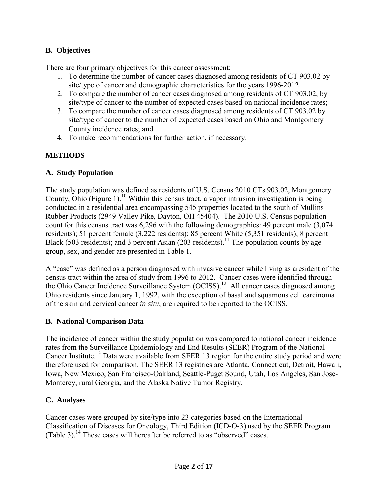### **B. Objectives**

There are four primary objectives for this cancer assessment:

- 1. To determine the number of cancer cases diagnosed among residents of CT 903.02 by site/type of cancer and demographic characteristics for the years 1996-2012
- 2. To compare the number of cancer cases diagnosed among residents of CT 903.02, by site/type of cancer to the number of expected cases based on national incidence rates;
- 3. To compare the number of cancer cases diagnosed among residents of CT 903.02 by site/type of cancer to the number of expected cases based on Ohio and Montgomery County incidence rates; and
- 4. To make recommendations for further action, if necessary.

## **METHODS**

#### **A. Study Population**

The study population was defined as residents of U.S. Census 2010 CTs 903.02, Montgomery County, Ohio (Figure 1).<sup>10</sup> Within this census tract, a vapor intrusion investigation is being conducted in a residential area encompassing 545 properties located to the south of Mullins Rubber Products (2949 Valley Pike, Dayton, OH 45404). The 2010 U.S. Census population count for this census tract was 6,296 with the following demographics: 49 percent male (3,074 residents); 51 percent female (3,222 residents); 85 percent White (5,351 residents); 8 percent Black (503 residents); and 3 percent Asian (203 residents).<sup>11</sup> The population counts by age group, sex, and gender are presented in Table 1.

A "case" was defined as a person diagnosed with invasive cancer while living as aresident of the census tract within the area of study from 1996 to 2012. Cancer cases were identified through the Ohio Cancer Incidence Surveillance System (OCISS).<sup>12</sup> All cancer cases diagnosed among Ohio residents since January 1, 1992, with the exception of basal and squamous cell carcinoma of the skin and cervical cancer *in situ*, are required to be reported to the OCISS.

#### **B. National Comparison Data**

The incidence of cancer within the study population was compared to national cancer incidence rates from the Surveillance Epidemiology and End Results (SEER) Program of the National Cancer Institute.<sup>13</sup> Data were available from SEER 13 region for the entire study period and were therefore used for comparison. The SEER 13 registries are Atlanta, Connecticut, Detroit, Hawaii, Iowa, New Mexico, San Francisco-Oakland, Seattle-Puget Sound, Utah, Los Angeles, San Jose-Monterey, rural Georgia, and the Alaska Native Tumor Registry.

#### **C. Analyses**

Cancer cases were grouped by site/type into 23 categories based on the International Classification of Diseases for Oncology, Third Edition (ICD-O-3) used by the SEER Program (Table 3).<sup>14</sup> These cases will hereafter be referred to as "observed" cases.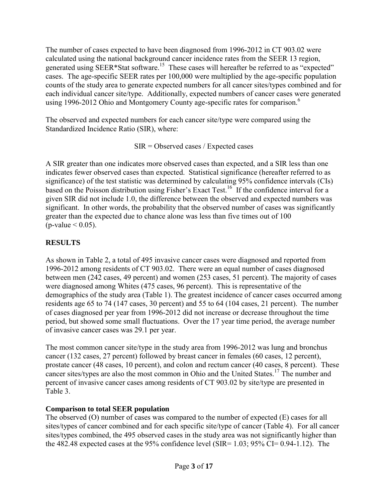The number of cases expected to have been diagnosed from 1996-2012 in CT 903.02 were calculated using the national background cancer incidence rates from the SEER 13 region, generated using SEER\*Stat software.<sup>15</sup> These cases will hereafter be referred to as "expected" cases. The age-specific SEER rates per 100,000 were multiplied by the age-specific population counts of the study area to generate expected numbers for all cancer sites/types combined and for each individual cancer site/type. Additionally, expected numbers of cancer cases were generated using 1996-2012 Ohio and Montgomery County age-specific rates for comparison.<sup>6</sup>

The observed and expected numbers for each cancer site/type were compared using the Standardized Incidence Ratio (SIR), where:

SIR = Observed cases / Expected cases

A SIR greater than one indicates more observed cases than expected, and a SIR less than one indicates fewer observed cases than expected. Statistical significance (hereafter referred to as significance) of the test statistic was determined by calculating 95% confidence intervals (CIs) based on the Poisson distribution using Fisher's Exact Test.<sup>16</sup> If the confidence interval for a given SIR did not include 1.0, the difference between the observed and expected numbers was significant. In other words, the probability that the observed number of cases was significantly greater than the expected due to chance alone was less than five times out of 100 (p-value  $< 0.05$ ).

# **RESULTS**

As shown in Table 2, a total of 495 invasive cancer cases were diagnosed and reported from 1996-2012 among residents of CT 903.02. There were an equal number of cases diagnosed between men (242 cases, 49 percent) and women (253 cases, 51 percent). The majority of cases were diagnosed among Whites (475 cases, 96 percent). This is representative of the demographics of the study area (Table 1). The greatest incidence of cancer cases occurred among residents age 65 to 74 (147 cases, 30 percent) and 55 to 64 (104 cases, 21 percent). The number of cases diagnosed per year from 1996-2012 did not increase or decrease throughout the time period, but showed some small fluctuations. Over the 17 year time period, the average number of invasive cancer cases was 29.1 per year.

The most common cancer site/type in the study area from 1996-2012 was lung and bronchus cancer (132 cases, 27 percent) followed by breast cancer in females (60 cases, 12 percent), prostate cancer (48 cases, 10 percent), and colon and rectum cancer (40 cases, 8 percent). These cancer sites/types are also the most common in Ohio and the United States.<sup>17</sup> The number and percent of invasive cancer cases among residents of CT 903.02 by site/type are presented in Table 3.

# **Comparison to total SEER population**

The observed (O) number of cases was compared to the number of expected (E) cases for all sites/types of cancer combined and for each specific site/type of cancer (Table 4). For all cancer sites/types combined, the 495 observed cases in the study area was not significantly higher than the 482.48 expected cases at the 95% confidence level (SIR=  $1.03$ ;  $95\%$  CI= 0.94-1.12). The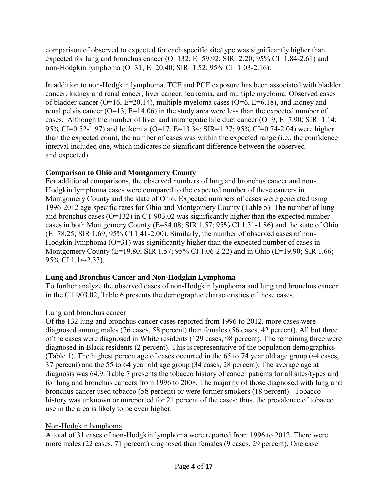comparison of observed to expected for each specific site/type was significantly higher than expected for lung and bronchus cancer (O=132; E=59.92; SIR=2.20; 95% CI=1.84-2.61) and non-Hodgkin lymphoma (O=31; E=20.40; SIR=1.52; 95% CI=1.03-2.16).

In addition to non-Hodgkin lymphoma, TCE and PCE exposure has been associated with bladder cancer, kidney and renal cancer, liver cancer, leukemia, and multiple myeloma. Observed cases of bladder cancer (O=16, E=20.14), multiple myeloma cases (O=6, E=6.18), and kidney and renal pelvis cancer  $(O=13, E=14.06)$  in the study area were less than the expected number of cases. Although the number of liver and intrahepatic bile duct cancer ( $O=9$ ;  $E=7.90$ ;  $SIR=1.14$ ; 95% CI=0.52-1.97) and leukemia (O=17, E=13.34; SIR=1.27; 95% CI=0.74-2.04) were higher than the expected count, the number of cases was within the expected range (i.e., the confidence interval included one, which indicates no significant difference between the observed and expected).

#### **Comparison to Ohio and Montgomery County**

For additional comparisons, the observed numbers of lung and bronchus cancer and non-Hodgkin lymphoma cases were compared to the expected number of these cancers in Montgomery County and the state of Ohio. Expected numbers of cases were generated using 1996-2012 age-specific rates for Ohio and Montgomery County (Table 5). The number of lung and bronchus cases (O=132) in CT 903.02 was significantly higher than the expected number cases in both Montgomery County (E=84.08; SIR 1.57; 95% CI 1.31-1.86) and the state of Ohio  $(E=78.25; SIR 1.69; 95\% CI 1.41-2.00)$ . Similarly, the number of observed cases of non-Hodgkin lymphoma  $(O=31)$  was significantly higher than the expected number of cases in Montgomery County (E=19.80; SIR 1.57; 95% CI 1.06-2.22) and in Ohio (E=19.90; SIR 1.66; 95% CI 1.14-2.33).

#### **Lung and Bronchus Cancer and Non-Hodgkin Lymphoma**

To further analyze the observed cases of non-Hodgkin lymphoma and lung and bronchus cancer in the CT 903.02, Table 6 presents the demographic characteristics of these cases.

#### Lung and bronchus cancer

Of the 132 lung and bronchus cancer cases reported from 1996 to 2012, more cases were diagnosed among males (76 cases, 58 percent) than females (56 cases, 42 percent). All but three of the cases were diagnosed in White residents (129 cases, 98 percent). The remaining three were diagnosed in Black residents (2 percent). This is representative of the population demographics (Table 1). The highest percentage of cases occurred in the 65 to 74 year old age group (44 cases, 37 percent) and the 55 to 64 year old age group (34 cases, 28 percent). The average age at diagnosis was 64.9. Table 7 presents the tobacco history of cancer patients for all sites/types and for lung and bronchus cancers from 1996 to 2008. The majority of those diagnosed with lung and bronchus cancer used tobacco (58 percent) or were former smokers (18 percent). Tobacco history was unknown or unreported for 21 percent of the cases; thus, the prevalence of tobacco use in the area is likely to be even higher.

#### Non-Hodgkin lymphoma

A total of 31 cases of non-Hodgkin lymphoma were reported from 1996 to 2012. There were more males (22 cases, 71 percent) diagnosed than females (9 cases, 29 percent). One case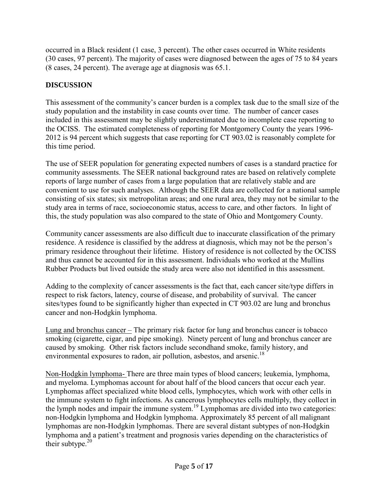occurred in a Black resident (1 case, 3 percent). The other cases occurred in White residents (30 cases, 97 percent). The majority of cases were diagnosed between the ages of 75 to 84 years (8 cases, 24 percent). The average age at diagnosis was 65.1.

# **DISCUSSION**

This assessment of the community's cancer burden is a complex task due to the small size of the study population and the instability in case counts over time. The number of cancer cases included in this assessment may be slightly underestimated due to incomplete case reporting to the OCISS. The estimated completeness of reporting for Montgomery County the years 1996- 2012 is 94 percent which suggests that case reporting for CT 903.02 is reasonably complete for this time period.

The use of SEER population for generating expected numbers of cases is a standard practice for community assessments. The SEER national background rates are based on relatively complete reports of large number of cases from a large population that are relatively stable and are convenient to use for such analyses. Although the SEER data are collected for a national sample consisting of six states; six metropolitan areas; and one rural area, they may not be similar to the study area in terms of race, socioeconomic status, access to care, and other factors. In light of this, the study population was also compared to the state of Ohio and Montgomery County.

Community cancer assessments are also difficult due to inaccurate classification of the primary residence. A residence is classified by the address at diagnosis, which may not be the person's primary residence throughout their lifetime. History of residence is not collected by the OCISS and thus cannot be accounted for in this assessment. Individuals who worked at the Mullins Rubber Products but lived outside the study area were also not identified in this assessment.

Adding to the complexity of cancer assessments is the fact that, each cancer site/type differs in respect to risk factors, latency, course of disease, and probability of survival. The cancer sites/types found to be significantly higher than expected in CT 903.02 are lung and bronchus cancer and non-Hodgkin lymphoma.

Lung and bronchus cancer – The primary risk factor for lung and bronchus cancer is tobacco smoking (cigarette, cigar, and pipe smoking). Ninety percent of lung and bronchus cancer are caused by smoking. Other risk factors include secondhand smoke, family history, and environmental exposures to radon, air pollution, asbestos, and arsenic.<sup>18</sup>

Non-Hodgkin lymphoma- There are three main types of blood cancers; leukemia, lymphoma, and myeloma. Lymphomas account for about half of the blood cancers that occur each year. Lymphomas affect specialized white blood cells, lymphocytes, which work with other cells in the immune system to fight infections. As cancerous lymphocytes cells multiply, they collect in the lymph nodes and impair the immune system.<sup>19</sup> Lymphomas are divided into two categories: non-Hodgkin lymphoma and Hodgkin lymphoma. Approximately 85 percent of all malignant lymphomas are non-Hodgkin lymphomas. There are several distant subtypes of non-Hodgkin lymphoma and a patient's treatment and prognosis varies depending on the characteristics of their subtype. $20$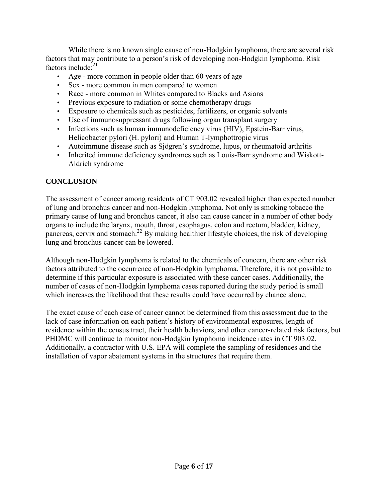While there is no known single cause of non-Hodgkin lymphoma, there are several risk factors that may contribute to a person's risk of developing non-Hodgkin lymphoma. Risk factors include: $^{21}$ 

- Age more common in people older than 60 years of age
- Sex more common in men compared to women
- Race more common in Whites compared to Blacks and Asians
- Previous exposure to radiation or some chemotherapy drugs
- Exposure to chemicals such as pesticides, fertilizers, or organic solvents
- Use of immunosuppressant drugs following organ transplant surgery
- Infections such as human immunodeficiency virus (HIV), Epstein-Barr virus, Helicobacter pylori (H. pylori) and Human T-lymphottropic virus
- Autoimmune disease such as Sjögren's syndrome, lupus, or rheumatoid arthritis
- Inherited immune deficiency syndromes such as Louis-Barr syndrome and Wiskott-Aldrich syndrome

#### **CONCLUSION**

The assessment of cancer among residents of CT 903.02 revealed higher than expected number of lung and bronchus cancer and non-Hodgkin lymphoma. Not only is smoking tobacco the primary cause of lung and bronchus cancer, it also can cause cancer in a number of other body organs to include the larynx, mouth, throat, esophagus, colon and rectum, bladder, kidney, pancreas, cervix and stomach.<sup>22</sup> By making healthier lifestyle choices, the risk of developing lung and bronchus cancer can be lowered.

Although non-Hodgkin lymphoma is related to the chemicals of concern, there are other risk factors attributed to the occurrence of non-Hodgkin lymphoma. Therefore, it is not possible to determine if this particular exposure is associated with these cancer cases. Additionally, the number of cases of non-Hodgkin lymphoma cases reported during the study period is small which increases the likelihood that these results could have occurred by chance alone.

The exact cause of each case of cancer cannot be determined from this assessment due to the lack of case information on each patient's history of environmental exposures, length of residence within the census tract, their health behaviors, and other cancer-related risk factors, but PHDMC will continue to monitor non-Hodgkin lymphoma incidence rates in CT 903.02. Additionally, a contractor with U.S. EPA will complete the sampling of residences and the installation of vapor abatement systems in the structures that require them.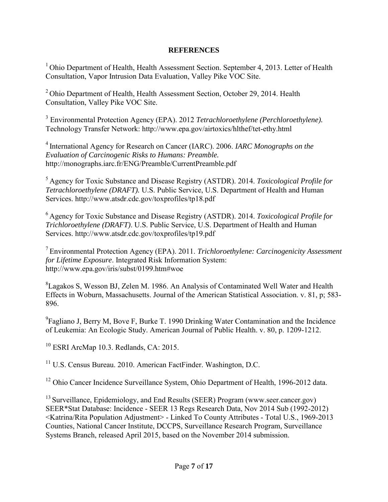#### **REFERENCES**

<sup>1</sup> Ohio Department of Health, Health Assessment Section. September 4, 2013. Letter of Health Consultation, Vapor Intrusion Data Evaluation, Valley Pike VOC Site.

<sup>2</sup> Ohio Department of Health, Health Assessment Section, October 29, 2014. Health Consultation, Valley Pike VOC Site.

3 Environmental Protection Agency (EPA). 2012 *Tetrachloroethylene (Perchloroethylene).* Technology Transfer Network: http://www.epa.gov/airtoxics/hlthef/tet-ethy.html

<sup>4</sup> International Agency for Research on Cancer (IARC). 2006. *IARC Monographs on the Evaluation of Carcinogenic Risks to Humans: Preamble.* http://monographs.iarc.fr/ENG/Preamble/CurrentPreamble.pdf

<sup>5</sup>Agency for Toxic Substance and Disease Registry (ASTDR). 2014. *Toxicological Profile for Tetrachloroethylene (DRAFT).* U.S. Public Service, U.S. Department of Health and Human Services. http://www.atsdr.cdc.gov/toxprofiles/tp18.pdf

<sup>6</sup>Agency for Toxic Substance and Disease Registry (ASTDR). 2014. *Toxicological Profile for Trichloroethylene (DRAFT)*. U.S. Public Service, U.S. Department of Health and Human Services. http://www.atsdr.cdc.gov/toxprofiles/tp19.pdf

<sup>7</sup>Environmental Protection Agency (EPA). 2011. *Trichloroethylene: Carcinogenicity Assessment for Lifetime Exposure*. Integrated Risk Information System: http://www.epa.gov/iris/subst/0199.htm#woe

<sup>8</sup>Lagakos S, Wesson BJ, Zelen M. 1986. An Analysis of Contaminated Well Water and Health Effects in Woburn, Massachusetts. Journal of the American Statistical Association. v. 81, p; 583- 896.

 $^{9}$ Fagliano J, Berry M, Bove F, Burke T. 1990 Drinking Water Contamination and the Incidence of Leukemia: An Ecologic Study. American Journal of Public Health. v. 80, p. 1209-1212.

 $10$  ESRI ArcMap 10.3. Redlands, CA: 2015.

<sup>11</sup> U.S. Census Bureau. 2010. American FactFinder. Washington, D.C.

<sup>12</sup> Ohio Cancer Incidence Surveillance System, Ohio Department of Health, 1996-2012 data.

 $^{13}$  Surveillance, Epidemiology, and End Results (SEER) Program (www.seer.cancer.gov) SEER\*Stat Database: Incidence - SEER 13 Regs Research Data, Nov 2014 Sub (1992-2012) <Katrina/Rita Population Adjustment> - Linked To County Attributes - Total U.S., 1969-2013 Counties, National Cancer Institute, DCCPS, Surveillance Research Program, Surveillance Systems Branch, released April 2015, based on the November 2014 submission.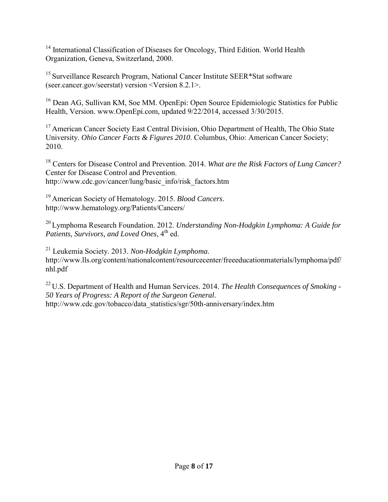<sup>14</sup> International Classification of Diseases for Oncology, Third Edition. World Health Organization, Geneva, Switzerland, 2000.

<sup>15</sup> Surveillance Research Program, National Cancer Institute SEER\*Stat software (seer.cancer.gov/seerstat) version <Version 8.2.1>.

<sup>16</sup> Dean AG, Sullivan KM, Soe MM. OpenEpi: Open Source Epidemiologic Statistics for Public Health, Version. www.OpenEpi.com, updated 9/22/2014, accessed 3/30/2015.

<sup>17</sup> American Cancer Society East Central Division, Ohio Department of Health, The Ohio State University. *Ohio Cancer Facts & Figures 2010*. Columbus, Ohio: American Cancer Society; 2010.

<sup>18</sup> Centers for Disease Control and Prevention. 2014. *What are the Risk Factors of Lung Cancer?*  Center for Disease Control and Prevention. http://www.cdc.gov/cancer/lung/basic\_info/risk\_factors.htm

<sup>19</sup> American Society of Hematology. 2015. *Blood Cancers*. http://www.hematology.org/Patients/Cancers/

<sup>20</sup> Lymphoma Research Foundation. 2012. *Understanding Non-Hodgkin Lymphoma: A Guide for Patients, Survivors, and Loved Ones,* 4<sup>th</sup> ed.

<sup>21</sup> Leukemia Society. 2013. *Non-Hodgkin Lymphoma.* http://www.lls.org/content/nationalcontent/resourcecenter/freeeducationmaterials/lymphoma/pdf/ nhl.pdf

<sup>22</sup> U.S. Department of Health and Human Services. 2014. *The Health Consequences of Smoking - 50 Years of Progress: A Report of the Surgeon General.* http://www.cdc.gov/tobacco/data\_statistics/sgr/50th-anniversary/index.htm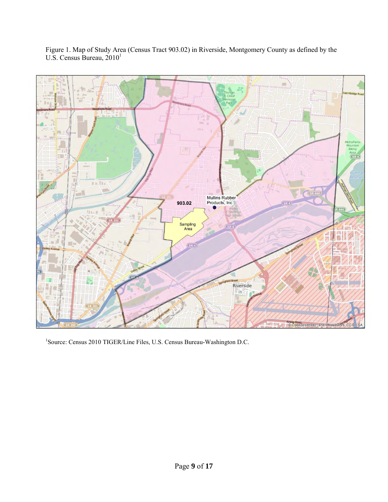

Figure 1. Map of Study Area (Census Tract 903.02) in Riverside, Montgomery County as defined by the U.S. Census Bureau,  $2010<sup>1</sup>$ 

<sup>1</sup>Source: Census 2010 TIGER/Line Files, U.S. Census Bureau-Washington D.C.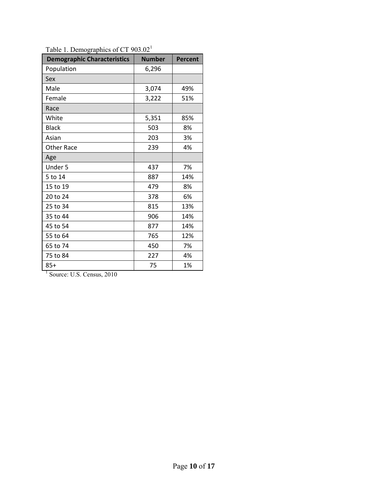| <b>Demographic Characteristics</b> | <b>Number</b> | Percent |
|------------------------------------|---------------|---------|
| Population                         | 6,296         |         |
| Sex                                |               |         |
| Male                               | 3,074         | 49%     |
| Female                             | 3,222         | 51%     |
| Race                               |               |         |
| White                              | 5,351         | 85%     |
| <b>Black</b>                       | 503           | 8%      |
| Asian                              | 203           | 3%      |
| <b>Other Race</b>                  | 239           | 4%      |
| Age                                |               |         |
| Under 5                            | 437           | 7%      |
| 5 to 14                            | 887           | 14%     |
| 15 to 19                           | 479           | 8%      |
| 20 to 24                           | 378           | 6%      |
| 25 to 34                           | 815           | 13%     |
| 35 to 44                           | 906           | 14%     |
| 45 to 54                           | 877           | 14%     |
| 55 to 64                           | 765           | 12%     |
| 65 to 74                           | 450           | 7%      |
| 75 to 84                           | 227           | 4%      |
| $85+$                              | 75            | 1%      |

Table 1. Demographics of CT 903.02<sup>1</sup>

<sup>1</sup> Source: U.S. Census, 2010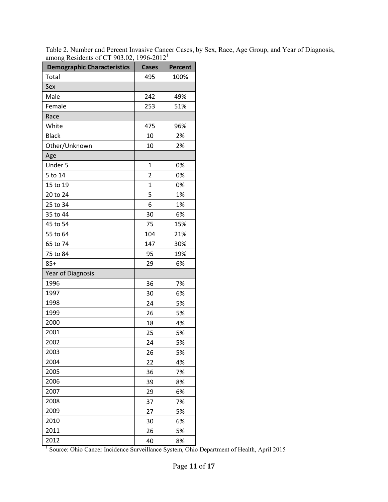| <b>Demographic Characteristics</b> | <b>Cases</b>   | <b>Percent</b> |
|------------------------------------|----------------|----------------|
| Total                              | 495            | 100%           |
| Sex                                |                |                |
| Male                               | 242            | 49%            |
| Female                             | 253            | 51%            |
| Race                               |                |                |
| White                              | 475            | 96%            |
| <b>Black</b>                       | 10             | 2%             |
| Other/Unknown                      | 10             | 2%             |
| Age                                |                |                |
| Under 5                            | 1              | 0%             |
| 5 to 14                            | $\overline{2}$ | 0%             |
| 15 to 19                           | $\mathbf{1}$   | 0%             |
| 20 to 24                           | 5              | 1%             |
| 25 to 34                           | 6              | 1%             |
| 35 to 44                           | 30             | 6%             |
| 45 to 54                           | 75             | 15%            |
| 55 to 64                           | 104            | 21%            |
| 65 to 74                           | 147            | 30%            |
| 75 to 84                           | 95             | 19%            |
| $85+$                              | 29             | 6%             |
| <b>Year of Diagnosis</b>           |                |                |
| 1996                               | 36             | 7%             |
| 1997                               | 30             | 6%             |
| 1998                               | 24             | 5%             |
| 1999                               | 26             | 5%             |
| 2000                               | 18             | 4%             |
| 2001                               | 25             | 5%             |
| 2002                               | 24             | 5%             |
| 2003                               | 26             | 5%             |
| 2004                               | 22             | 4%             |
| 2005                               | 36             | 7%             |
| 2006                               | 39             | 8%             |
| 2007                               | 29             | 6%             |
| 2008                               | 37             | 7%             |
| 2009                               | 27             | 5%             |
| 2010                               | 30             | 6%             |
| 2011                               | 26             | 5%             |
| 2012                               | 40             | 8%             |

Table 2. Number and Percent Invasive Cancer Cases, by Sex, Race, Age Group, and Year of Diagnosis, among Residents of CT 903.02, 1996-2012<sup>1</sup>

2012<br><sup>1</sup> Source: Ohio Cancer Incidence Surveillance System, Ohio Department of Health, April 2015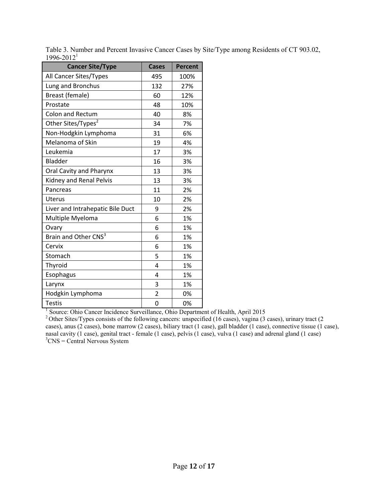| <b>Cancer Site/Type</b>          | <b>Cases</b>   | <b>Percent</b> |
|----------------------------------|----------------|----------------|
| All Cancer Sites/Types           | 495            | 100%           |
| Lung and Bronchus                | 132            | 27%            |
| Breast (female)                  | 60             | 12%            |
| Prostate                         | 48             | 10%            |
| <b>Colon and Rectum</b>          | 40             | 8%             |
| Other Sites/Types <sup>2</sup>   | 34             | 7%             |
| Non-Hodgkin Lymphoma             | 31             | 6%             |
| Melanoma of Skin                 | 19             | 4%             |
| Leukemia                         | 17             | 3%             |
| Bladder                          | 16             | 3%             |
| Oral Cavity and Pharynx          | 13             | 3%             |
| Kidney and Renal Pelvis          | 13             | 3%             |
| Pancreas                         | 11             | 2%             |
| <b>Uterus</b>                    | 10             | 2%             |
| Liver and Intrahepatic Bile Duct | 9              | 2%             |
| Multiple Myeloma                 | 6              | 1%             |
| Ovary                            | 6              | 1%             |
| Brain and Other CNS <sup>3</sup> | 6              | 1%             |
| Cervix                           | 6              | 1%             |
| Stomach                          | 5              | 1%             |
| Thyroid                          | 4              | 1%             |
| Esophagus                        | 4              | 1%             |
| Larynx                           | 3              | 1%             |
| Hodgkin Lymphoma                 | $\overline{2}$ | 0%             |
| <b>Testis</b>                    | 0              | 0%             |

Table 3. Number and Percent Invasive Cancer Cases by Site/Type among Residents of CT 903.02,  $1996 - 2012<sup>1</sup>$ 

Testis<br><sup>1</sup> Source: Ohio Cancer Incidence Surveillance, Ohio Department of Health, April 2015

<sup>2</sup> Other Sites/Types consists of the following cancers: unspecified (16 cases), vagina (3 cases), urinary tract (2 cases), anus (2 cases), bone marrow (2 cases), biliary tract (1 case), gall bladder (1 case), connective tissue (1 case), nasal cavity (1 case), genital tract - female (1 case), pelvis (1 case), vulva (1 case) and adrenal gland (1 case)  ${}^{3}C$ NS = Central Nervous System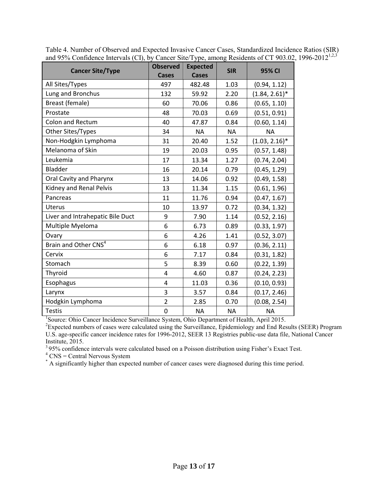| <b>Cancer Site/Type</b>          | <b>Observed</b><br><b>Cases</b> | <b>Expected</b><br><b>Cases</b> | <b>SIR</b> | 95% CI           |
|----------------------------------|---------------------------------|---------------------------------|------------|------------------|
| All Sites/Types                  | 497                             | 482.48                          | 1.03       | (0.94, 1.12)     |
| Lung and Bronchus                | 132                             | 59.92                           | 2.20       | $(1.84, 2.61)^*$ |
| Breast (female)                  | 60                              | 70.06                           | 0.86       | (0.65, 1.10)     |
| Prostate                         | 48                              | 70.03                           | 0.69       | (0.51, 0.91)     |
| <b>Colon and Rectum</b>          | 40                              | 47.87                           | 0.84       | (0.60, 1.14)     |
| Other Sites/Types                | 34                              | <b>NA</b>                       | <b>NA</b>  | <b>NA</b>        |
| Non-Hodgkin Lymphoma             | 31                              | 20.40                           | 1.52       | $(1.03, 2.16)^*$ |
| Melanoma of Skin                 | 19                              | 20.03                           | 0.95       | (0.57, 1.48)     |
| Leukemia                         | 17                              | 13.34                           | 1.27       | (0.74, 2.04)     |
| Bladder                          | 16                              | 20.14                           | 0.79       | (0.45, 1.29)     |
| Oral Cavity and Pharynx          | 13                              | 14.06                           | 0.92       | (0.49, 1.58)     |
| Kidney and Renal Pelvis          | 13                              | 11.34                           | 1.15       | (0.61, 1.96)     |
| Pancreas                         | 11                              | 11.76                           | 0.94       | (0.47, 1.67)     |
| <b>Uterus</b>                    | 10                              | 13.97                           | 0.72       | (0.34, 1.32)     |
| Liver and Intrahepatic Bile Duct | 9                               | 7.90                            | 1.14       | (0.52, 2.16)     |
| Multiple Myeloma                 | 6                               | 6.73                            | 0.89       | (0.33, 1.97)     |
| Ovary                            | 6                               | 4.26                            | 1.41       | (0.52, 3.07)     |
| Brain and Other CNS <sup>4</sup> | 6                               | 6.18                            | 0.97       | (0.36, 2.11)     |
| Cervix                           | 6                               | 7.17                            | 0.84       | (0.31, 1.82)     |
| Stomach                          | 5                               | 8.39                            | 0.60       | (0.22, 1.39)     |
| Thyroid                          | 4                               | 4.60                            | 0.87       | (0.24, 2.23)     |
| Esophagus                        | 4                               | 11.03                           | 0.36       | (0.10, 0.93)     |
| Larynx                           | 3                               | 3.57                            | 0.84       | (0.17, 2.46)     |
| Hodgkin Lymphoma                 | $\overline{2}$                  | 2.85                            | 0.70       | (0.08, 2.54)     |
| <b>Testis</b>                    | $\mathbf 0$                     | <b>NA</b>                       | <b>NA</b>  | <b>NA</b>        |

Table 4. Number of Observed and Expected Invasive Cancer Cases, Standardized Incidence Ratios (SIR) and 95% Confidence Intervals (CI), by Cancer Site/Type, among Residents of CT 903.02, 1996-2012<sup>1,2,3</sup>

<sup>1</sup>Source: Ohio Cancer Incidence Surveillance System, Ohio Department of Health, April 2015.

<sup>2</sup>Expected numbers of cases were calculated using the Surveillance, Epidemiology and End Results (SEER) Program U.S. age-specific cancer incidence rates for 1996-2012, SEER 13 Registries public-use data file, National Cancer Institute, 2015.

<sup>3</sup>95% confidence intervals were calculated based on a Poisson distribution using Fisher's Exact Test.

 $4$  CNS = Central Nervous System

\* A significantly higher than expected number of cancer cases were diagnosed during this time period.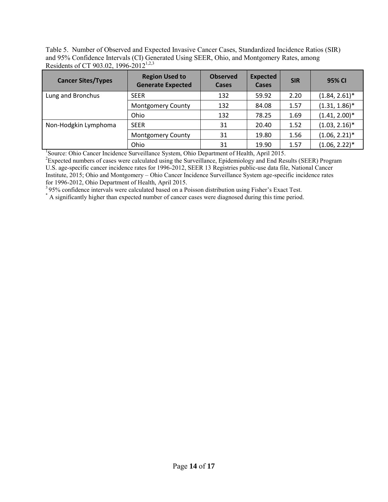Table 5. Number of Observed and Expected Invasive Cancer Cases, Standardized Incidence Ratios (SIR) and 95% Confidence Intervals (CI) Generated Using SEER, Ohio, and Montgomery Rates, among Residents of CT 903.02, 1996-2012<sup>1,2,3</sup>

| <b>Cancer Sites/Types</b> | <b>Region Used to</b><br><b>Generate Expected</b> | <b>Observed</b><br>Cases | <b>Expected</b><br>Cases | <b>SIR</b> | 95% CI           |
|---------------------------|---------------------------------------------------|--------------------------|--------------------------|------------|------------------|
| Lung and Bronchus         | <b>SEER</b>                                       | 132                      | 59.92                    | 2.20       | $(1.84, 2.61)^*$ |
|                           | <b>Montgomery County</b>                          | 132                      | 84.08                    | 1.57       | $(1.31, 1.86)^*$ |
|                           | Ohio                                              | 132                      | 78.25                    | 1.69       | $(1.41, 2.00)^*$ |
| Non-Hodgkin Lymphoma      | <b>SEER</b>                                       | 31                       | 20.40                    | 1.52       | $(1.03, 2.16)^*$ |
|                           | <b>Montgomery County</b>                          | 31                       | 19.80                    | 1.56       | $(1.06, 2.21)^*$ |
|                           | Ohio                                              | 31                       | 19.90                    | 1.57       | $(1.06, 2.22)^*$ |

<sup>1</sup>Source: Ohio Cancer Incidence Surveillance System, Ohio Department of Health, April 2015.

<sup>2</sup>Expected numbers of cases were calculated using the Surveillance, Epidemiology and End Results (SEER) Program U.S. age-specific cancer incidence rates for 1996-2012, SEER 13 Registries public-use data file, National Cancer Institute, 2015; Ohio and Montgomery – Ohio Cancer Incidence Surveillance System age-specific incidence rates for 1996-2012, Ohio Department of Health, April 2015.

<sup>3</sup>95% confidence intervals were calculated based on a Poisson distribution using Fisher's Exact Test.

\* A significantly higher than expected number of cancer cases were diagnosed during this time period.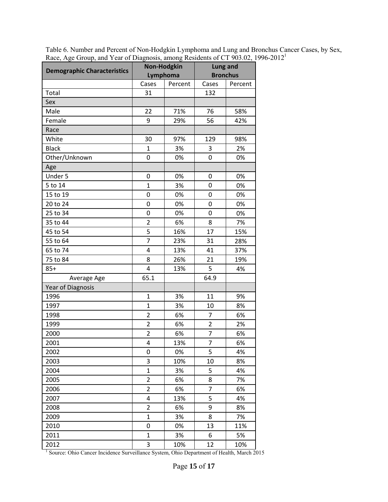| <b>Demographic Characteristics</b> | <b>Non-Hodgkin</b><br>Lymphoma |         | <b>Lung and</b><br><b>Bronchus</b> |         |
|------------------------------------|--------------------------------|---------|------------------------------------|---------|
|                                    | Cases                          | Percent | Cases                              | Percent |
| Total                              | 31                             |         | 132                                |         |
| Sex                                |                                |         |                                    |         |
| Male                               | 22                             | 71%     | 76                                 | 58%     |
| Female                             | 9                              | 29%     | 56                                 | 42%     |
| Race                               |                                |         |                                    |         |
| White                              | 30                             | 97%     | 129                                | 98%     |
| <b>Black</b>                       | $\mathbf{1}$                   | 3%      | 3                                  | 2%      |
| Other/Unknown                      | 0                              | 0%      | 0                                  | 0%      |
| Age                                |                                |         |                                    |         |
| Under 5                            | 0                              | 0%      | 0                                  | 0%      |
| 5 to 14                            | $\overline{1}$                 | 3%      | $\mathbf 0$                        | 0%      |
| 15 to 19                           | $\mathbf 0$                    | 0%      | 0                                  | 0%      |
| 20 to 24                           | $\mathbf 0$                    | 0%      | 0                                  | 0%      |
| 25 to 34                           | 0                              | 0%      | $\mathbf 0$                        | 0%      |
| 35 to 44                           | $\overline{\mathbf{c}}$        | 6%      | 8                                  | 7%      |
| 45 to 54                           | 5                              | 16%     | 17                                 | 15%     |
| 55 to 64                           | $\overline{7}$                 | 23%     | 31                                 | 28%     |
| 65 to 74                           | $\overline{4}$                 | 13%     | 41                                 | 37%     |
| 75 to 84                           | 8                              | 26%     | 21                                 | 19%     |
| $85+$                              | 4                              | 13%     | 5                                  | 4%      |
| Average Age                        | 65.1                           |         | 64.9                               |         |
| Year of Diagnosis                  |                                |         |                                    |         |
| 1996                               | $\mathbf{1}$                   | 3%      | 11                                 | 9%      |
| 1997                               | $\overline{1}$                 | 3%      | 10                                 | 8%      |
| 1998                               | $\overline{2}$                 | 6%      | $\overline{7}$                     | 6%      |
| 1999                               | $\overline{2}$                 | 6%      | $\overline{2}$                     | 2%      |
| 2000                               | $\overline{2}$                 | 6%      | $\overline{7}$                     | 6%      |
| 2001                               | $\overline{4}$                 | 13%     | $\overline{7}$                     | 6%      |
| 2002                               | 0                              | 0%      | 5                                  | 4%      |
| 2003                               | 3                              | 10%     | 10                                 | 8%      |
| 2004                               | $\mathbf{1}$                   | 3%      | 5                                  | 4%      |
| 2005                               | $\overline{2}$                 | 6%      | 8                                  | 7%      |
| 2006                               | $\overline{2}$                 | 6%      | $\overline{7}$                     | 6%      |
| 2007                               | 4                              | 13%     | 5                                  | 4%      |
| 2008                               | $\overline{2}$                 | 6%      | 9                                  | 8%      |
| 2009                               | $\mathbf{1}$                   | 3%      | 8                                  | 7%      |
| 2010                               | 0                              | 0%      | 13                                 | 11%     |
| 2011                               | 1                              | 3%      | 6                                  | 5%      |
| 2012                               | 3                              | 10%     | 12                                 | 10%     |

Table 6. Number and Percent of Non-Hodgkin Lymphoma and Lung and Bronchus Cancer Cases, by Sex, Race, Age Group, and Year of Diagnosis, among Residents of CT 903.02, 1996-2012<sup>1</sup>

2012 10% 1<br>
<sup>1</sup> Source: Ohio Cancer Incidence Surveillance System, Ohio Department of Health, March 2015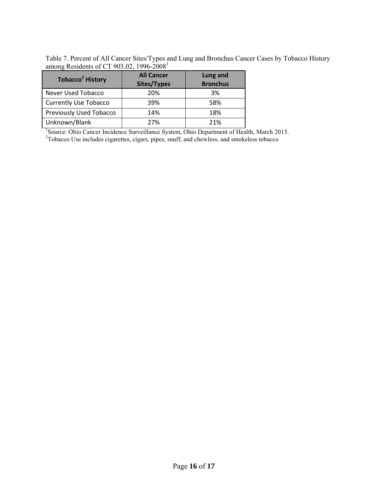Table 7. Percent of All Cancer Sites/Types and Lung and Bronchus Cancer Cases by Tobacco History among Residents of CT 903.02, 1996-2008 $^1$ 

| Tobacco <sup>2</sup> History   | <b>All Cancer</b><br>Sites/Types | Lung and<br><b>Bronchus</b> |
|--------------------------------|----------------------------------|-----------------------------|
| Never Used Tobacco             | 20%                              | 3%                          |
| <b>Currently Use Tobacco</b>   | 39%                              | 58%                         |
| <b>Previously Used Tobacco</b> | 14%                              | 18%                         |
| Unknown/Blank                  | 27%                              | 21%                         |

<sup>1</sup>Source: Ohio Cancer Incidence Surveillance System, Ohio Department of Health, March 2015.  $2^2$ Tobacco Use includes cigarettes, cigars, pipes, snuff, and chewless, and smokeless tobacco